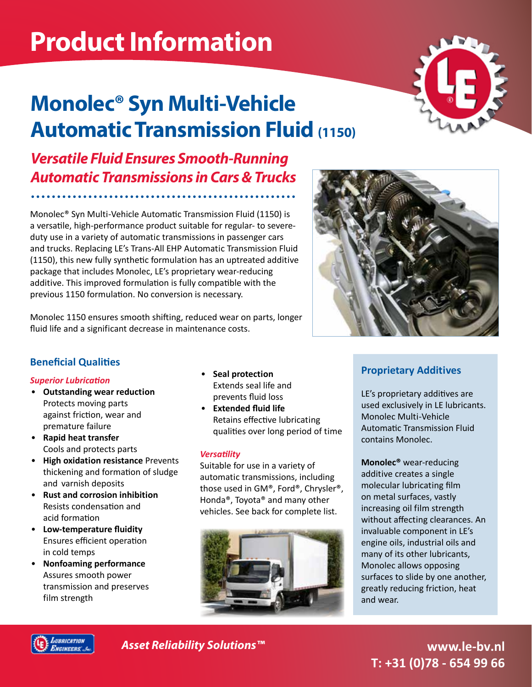# **Product Information**

## **Monolec® Syn Multi-Vehicle Automatic Transmission Fluid (1150)**

*Versatile Fluid Ensures Smooth-Running Automatic Transmissions in Cars & Trucks*

Monolec® Syn Multi-Vehicle Automatic Transmission Fluid (1150) is a versatile, high-performance product suitable for regular- to severeduty use in a variety of automatic transmissions in passenger cars and trucks. Replacing LE's Trans-All EHP Automatic Transmission Fluid (1150), this new fully synthetic formulation has an uptreated additive package that includes Monolec, LE's proprietary wear-reducing additive. This improved formulation is fully compatible with the previous 1150 formulation. No conversion is necessary.

Monolec 1150 ensures smooth shifting, reduced wear on parts, longer fluid life and a significant decrease in maintenance costs.

#### **Beneficial Qualities**

#### *Superior Lubrication*

- **Outstanding wear reduction**  Protects moving parts against friction, wear and premature failure
- **Rapid heat transfer**  Cools and protects parts
- **High oxidation resistance** Prevents thickening and formation of sludge and varnish deposits
- **Rust and corrosion inhibition**  Resists condensation and acid formation
- **Low-temperature fluidity**  Ensures efficient operation in cold temps
- **Nonfoaming performance**  Assures smooth power transmission and preserves film strength
- **Seal protection**  Extends seal life and prevents fluid loss
- **Extended fluid life**  Retains effective lubricating qualities over long period of time

#### *Versatility*

Suitable for use in a variety of automatic transmissions, including those used in GM®, Ford®, Chrysler®, Honda®, Toyota® and many other vehicles. See back for complete list.





#### **Proprietary Additives**

LE's proprietary additives are used exclusively in LE lubricants. Monolec Multi-Vehicle Automatic Transmission Fluid contains Monolec.

**Monolec®** wear-reducing additive creates a single molecular lubricating film on metal surfaces, vastly increasing oil film strength without affecting clearances. An invaluable component in LE's engine oils, industrial oils and many of its other lubricants, Monolec allows opposing surfaces to slide by one another, greatly reducing friction, heat and wear.



*Asset Reliability Solutions™*

**www.le-bv.nl T: +31 (0)78 - 654 99 66**